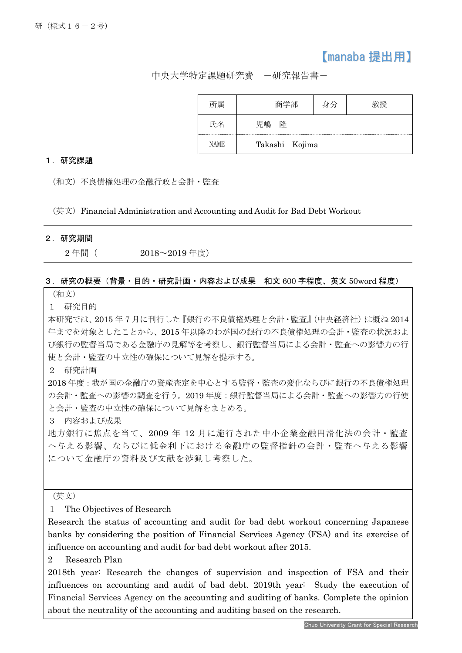## 【manaba 提出用】

中央大学特定課題研究費 -研究報告書-

|      | 商字部     |                |  |
|------|---------|----------------|--|
|      | 隆<br>児嶋 |                |  |
| NAME |         | Takashi Kojima |  |

## 1.研究課題

(和文)不良債権処理の金融行政と会計・監査

(英文)Financial Administration and Accounting and Audit for Bad Debt Workout

## 2.研究期間

j

2 年間( 2018~2019 年度)

## 3.研究の概要(背景・目的・研究計画・内容および成果 和文 600 字程度、英文 50word 程度)

(和文)

1 研究目的

本研究では、2015 年 7 月に刊行した『銀行の不良債権処理と会計・監査』(中央経済社)は概ね 2014 年までを対象としたことから、2015 年以降のわが国の銀行の不良債権処理の会計・監査の状況およ び銀行の監督当局である金融庁の見解等を考察し、銀行監督当局による会計・監査への影響力の行 使と会計・監査の中立性の確保について見解を提示する。

2 研究計画

2018 年度:我が国の金融庁の資産査定を中心とする監督・監査の変化ならびに銀行の不良債権処理 の会計・監査への影響の調査を行う。2019 年度:銀行監督当局による会計・監査への影響力の行使 と会計・監査の中立性の確保について見解をまとめる。

3 内容および成果

地方銀行に焦点を当て、2009 年 12 月に施行された中小企業金融円滑化法の会計・監査 へ与える影響、ならびに低金利下における金融庁の監督指針の会計・監査へ与える影響 について金融庁の資料及び文献を渉猟し考察した。

(英文)

1 The Objectives of Research

Research the status of accounting and audit for bad debt workout concerning Japanese banks by considering the position of Financial Services Agency (FSA) and its exercise of influence on accounting and audit for bad debt workout after 2015.

2 Research Plan

2018th year: Research the changes of supervision and inspection of FSA and their influences on accounting and audit of bad debt. 2019th year: Study the execution of Financial Services Agency on the accounting and auditing of banks. Complete the opinion about the neutrality of the accounting and auditing based on the research.